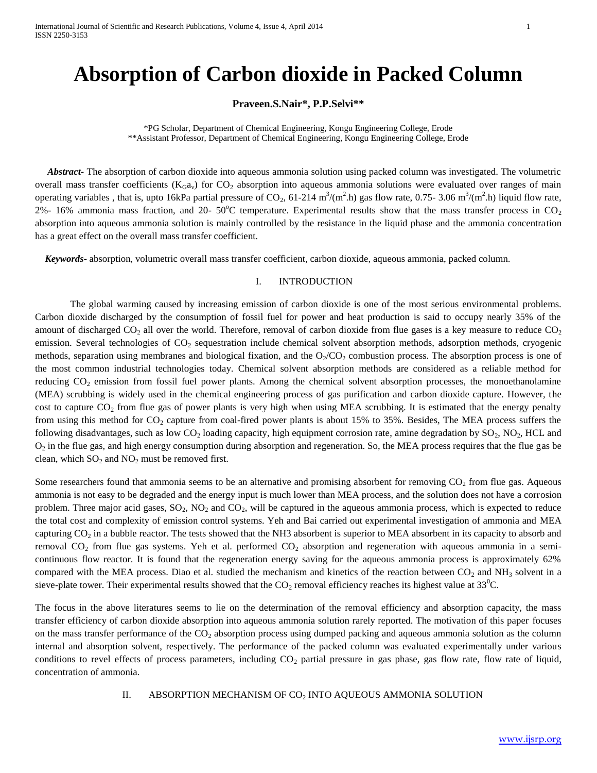# **Absorption of Carbon dioxide in Packed Column**

## **Praveen.S.Nair\*, P.P.Selvi\*\***

\*PG Scholar, Department of Chemical Engineering, Kongu Engineering College, Erode \*\*Assistant Professor, Department of Chemical Engineering, Kongu Engineering College, Erode

 *Abstract-* The absorption of carbon dioxide into aqueous ammonia solution using packed column was investigated. The volumetric overall mass transfer coefficients ( $K_Ga_v$ ) for  $CO_2$  absorption into aqueous ammonia solutions were evaluated over ranges of main operating variables, that is, upto 16kPa partial pressure of CO<sub>2</sub>, 61-214 m<sup>3</sup>/(m<sup>2</sup>.h) gas flow rate, 0.75- 3.06 m<sup>3</sup>/(m<sup>2</sup>.h) liquid flow rate, 2%- 16% ammonia mass fraction, and 20- 50°C temperature. Experimental results show that the mass transfer process in  $CO_2$ absorption into aqueous ammonia solution is mainly controlled by the resistance in the liquid phase and the ammonia concentration has a great effect on the overall mass transfer coefficient.

 *Keywords*- absorption, volumetric overall mass transfer coefficient, carbon dioxide, aqueous ammonia, packed column.

#### I. INTRODUCTION

The global warming caused by increasing emission of carbon dioxide is one of the most serious environmental problems. Carbon dioxide discharged by the consumption of fossil fuel for power and heat production is said to occupy nearly 35% of the amount of discharged  $CO_2$  all over the world. Therefore, removal of carbon dioxide from flue gases is a key measure to reduce  $CO_2$ emission. Several technologies of CO<sub>2</sub> sequestration include chemical solvent absorption methods, adsorption methods, cryogenic methods, separation using membranes and biological fixation, and the  $O<sub>2</sub>/CO<sub>2</sub>$  combustion process. The absorption process is one of the most common industrial technologies today. Chemical solvent absorption methods are considered as a reliable method for reducing  $CO<sub>2</sub>$  emission from fossil fuel power plants. Among the chemical solvent absorption processes, the monoethanolamine (MEA) scrubbing is widely used in the chemical engineering process of gas purification and carbon dioxide capture. However, the cost to capture  $CO<sub>2</sub>$  from flue gas of power plants is very high when using MEA scrubbing. It is estimated that the energy penalty from using this method for  $CO_2$  capture from coal-fired power plants is about 15% to 35%. Besides, The MEA process suffers the following disadvantages, such as low  $CO_2$  loading capacity, high equipment corrosion rate, amine degradation by  $SO_2$ ,  $NO_2$ , HCL and O<sup>2</sup> in the flue gas, and high energy consumption during absorption and regeneration. So, the MEA process requires that the flue gas be clean, which  $SO_2$  and  $NO_2$  must be removed first.

Some researchers found that ammonia seems to be an alternative and promising absorbent for removing  $CO<sub>2</sub>$  from flue gas. Aqueous ammonia is not easy to be degraded and the energy input is much lower than MEA process, and the solution does not have a corrosion problem. Three major acid gases,  $SO_2$ ,  $NO_2$  and  $CO_2$ , will be captured in the aqueous ammonia process, which is expected to reduce the total cost and complexity of emission control systems. Yeh and Bai carried out experimental investigation of ammonia and MEA capturing  $CO<sub>2</sub>$  in a bubble reactor. The tests showed that the NH3 absorbent is superior to MEA absorbent in its capacity to absorb and removal  $CO_2$  from flue gas systems. Yeh et al. performed  $CO_2$  absorption and regeneration with aqueous ammonia in a semicontinuous flow reactor. It is found that the regeneration energy saving for the aqueous ammonia process is approximately 62% compared with the MEA process. Diao et al. studied the mechanism and kinetics of the reaction between  $CO_2$  and NH<sub>3</sub> solvent in a sieve-plate tower. Their experimental results showed that the  $CO_2$  removal efficiency reaches its highest value at  $33^{\circ}$ C.

The focus in the above literatures seems to lie on the determination of the removal efficiency and absorption capacity, the mass transfer efficiency of carbon dioxide absorption into aqueous ammonia solution rarely reported. The motivation of this paper focuses on the mass transfer performance of the  $CO<sub>2</sub>$  absorption process using dumped packing and aqueous ammonia solution as the column internal and absorption solvent, respectively. The performance of the packed column was evaluated experimentally under various conditions to revel effects of process parameters, including  $CO<sub>2</sub>$  partial pressure in gas phase, gas flow rate, flow rate of liquid, concentration of ammonia.

II. ABSORPTION MECHANISM OF CO<sub>2</sub> INTO AQUEOUS AMMONIA SOLUTION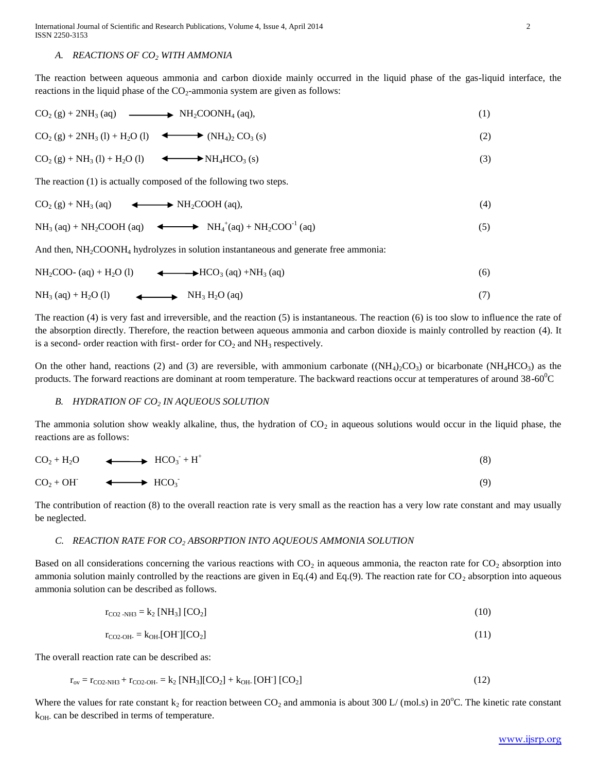#### *A. REACTIONS OF CO<sup>2</sup> WITH AMMONIA*

The reaction between aqueous ammonia and carbon dioxide mainly occurred in the liquid phase of the gas-liquid interface, the reactions in the liquid phase of the CO<sub>2</sub>-ammonia system are given as follows:

$$
CO2(g) + 2NH3(aq) \longrightarrow NH2COONH4(aq),
$$
 (1)

 $CO_2(g) + 2NH_3(l) + H_2O(l)$  (I)  $\longrightarrow$  (NH<sub>4</sub>)<sub>2</sub> CO<sub>3</sub> (s) (2)

$$
CO2(g) + NH3(l) + H2O(l) \qquad \longrightarrow NH4 HCO3(s)
$$
\n(3)

The reaction (1) is actually composed of the following two steps.

$$
CO_2(g) + NH_3(aq)
$$
  $\longleftrightarrow NH_2COOH(aq)$ , (4)

$$
NH_3\ (aq) + NH_2COOH\ (aq) \quad \Longleftrightarrow \quad NH_4^+(aq) + NH_2COO^{-1}\ (aq) \tag{5}
$$

And then,  $NH<sub>2</sub>COONH<sub>4</sub>$  hydrolyzes in solution instantaneous and generate free ammonia:

$$
NH2COO - (aq) + H2O (l) \qquad \longrightarrow HCO3 (aq) + NH3 (aq)
$$
 (6)

$$
NH3 (aq) + H2O (l)
$$
 
$$
NH3H2O (aq)
$$
 (7)

The reaction (4) is very fast and irreversible, and the reaction (5) is instantaneous. The reaction (6) is too slow to influence the rate of the absorption directly. Therefore, the reaction between aqueous ammonia and carbon dioxide is mainly controlled by reaction (4). It is a second- order reaction with first- order for  $CO<sub>2</sub>$  and NH<sub>3</sub> respectively.

On the other hand, reactions (2) and (3) are reversible, with ammonium carbonate ( $(NH_4)_2CO_3$ ) or bicarbonate ( $NH_4HCO_3$ ) as the products. The forward reactions are dominant at room temperature. The backward reactions occur at temperatures of around  $38{\text -}60^{\circ}\text{C}$ 

## *B. HYDRATION OF CO<sup>2</sup> IN AQUEOUS SOLUTION*

The ammonia solution show weakly alkaline, thus, the hydration of  $CO<sub>2</sub>$  in aqueous solutions would occur in the liquid phase, the reactions are as follows:

| (8) |
|-----|
|     |

 $CO<sub>2</sub> + OH<sup>-</sup>$  $\leftarrow$   $\leftarrow$   $HCO_3$ (9)

The contribution of reaction (8) to the overall reaction rate is very small as the reaction has a very low rate constant and may usually be neglected.

#### *C. REACTION RATE FOR CO<sup>2</sup> ABSORPTION INTO AQUEOUS AMMONIA SOLUTION*

Based on all considerations concerning the various reactions with  $CO<sub>2</sub>$  in aqueous ammonia, the reacton rate for  $CO<sub>2</sub>$  absorption into ammonia solution mainly controlled by the reactions are given in Eq.(4) and Eq.(9). The reaction rate for  $CO_2$  absorption into aqueous ammonia solution can be described as follows.

$$
r_{CO2-NH3} = k_2 [NH_3] [CO_2]
$$
 (10)

$$
r_{\text{CO2-OH}} = k_{\text{OH}} [OH][CO_2] \tag{11}
$$

The overall reaction rate can be described as:

$$
r_{ov} = r_{CO2-NH3} + r_{CO2-OH} = k_2 [NH_3][CO_2] + k_{OH} [OH] [CO_2]
$$
\n(12)

Where the values for rate constant  $k_2$  for reaction between  $CO_2$  and ammonia is about 300 L/ (mol.s) in 20<sup>o</sup>C. The kinetic rate constant  $k_{OH}$  can be described in terms of temperature.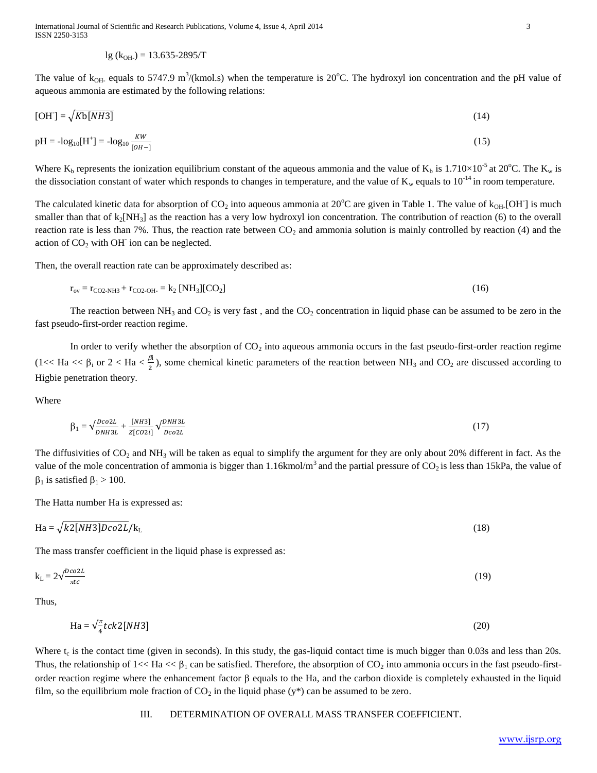$$
lg (k_{OH}) = 13.635 - 2895/T
$$

The value of  $k_{OH}$  equals to 5747.9 m<sup>3</sup>/(kmol.s) when the temperature is 20°C. The hydroxyl ion concentration and the pH value of aqueous ammonia are estimated by the following relations:

$$
[OH] = \sqrt{Kb[MH3]}
$$
 (14)

$$
pH = -\log_{10}[H^+] = -\log_{10}\frac{KW}{[OH^-]} \tag{15}
$$

Where  $K_b$  represents the ionization equilibrium constant of the aqueous ammonia and the value of  $K_b$  is 1.710×10<sup>-5</sup> at 20<sup>o</sup>C. The  $K_w$  is the dissociation constant of water which responds to changes in temperature, and the value of  $K_w$  equals to  $10^{-14}$  in room temperature.

The calculated kinetic data for absorption of  $CO_2$  into aqueous ammonia at 20 $^{\circ}$ C are given in Table 1. The value of  $k_{OH}$ [OH] is much smaller than that of  $k_2[NH_3]$  as the reaction has a very low hydroxyl ion concentration. The contribution of reaction (6) to the overall reaction rate is less than 7%. Thus, the reaction rate between  $CO<sub>2</sub>$  and ammonia solution is mainly controlled by reaction (4) and the action of  $CO<sub>2</sub>$  with OH<sup>-</sup> ion can be neglected.

Then, the overall reaction rate can be approximately described as:

$$
r_{ov} = r_{CO2-NH3} + r_{CO2-OH} = k_2 [NH_3][CO_2]
$$
\n(16)

The reaction between  $NH_3$  and  $CO_2$  is very fast, and the  $CO_2$  concentration in liquid phase can be assumed to be zero in the fast pseudo-first-order reaction regime.

In order to verify whether the absorption of  $CO<sub>2</sub>$  into aqueous ammonia occurs in the fast pseudo-first-order reaction regime (1 << Ha <<  $\beta_i$  or 2 < Ha <  $\frac{\beta_i}{2}$ ), some chemical kinetic parameters of the reaction between NH<sub>3</sub> and CO<sub>2</sub> are discussed according to Higbie penetration theory.

Where

$$
\beta_1 = \sqrt{\frac{p_{co2L}}{p_{NH3L}} + \frac{[NH3]}{z[co2i]}} \sqrt{\frac{p_{NH3L}}{p_{co2L}}}
$$
\n
$$
\tag{17}
$$

The diffusivities of  $CO_2$  and NH<sub>3</sub> will be taken as equal to simplify the argument for they are only about 20% different in fact. As the value of the mole concentration of ammonia is bigger than 1.16kmol/m<sup>3</sup> and the partial pressure of  $CO_2$  is less than 15kPa, the value of  $\beta_1$  is satisfied  $\beta_1 > 100$ .

The Hatta number Ha is expressed as:

$$
Ha = \sqrt{k2[MH3]Dco2L/k_L}
$$
 (18)

The mass transfer coefficient in the liquid phase is expressed as:

$$
k_{L} = 2\sqrt{\frac{p_{co2L}}{\pi c}}\tag{19}
$$

Thus,

$$
\text{Ha} = \sqrt{\frac{\pi}{4}} \, t \, c \, k \, 2 \, [NH3] \tag{20}
$$

Where  $t_c$  is the contact time (given in seconds). In this study, the gas-liquid contact time is much bigger than 0.03s and less than 20s. Thus, the relationship of  $1 \ll Ha \ll \beta_1$  can be satisfied. Therefore, the absorption of  $CO_2$  into ammonia occurs in the fast pseudo-firstorder reaction regime where the enhancement factor  $\beta$  equals to the Ha, and the carbon dioxide is completely exhausted in the liquid film, so the equilibrium mole fraction of  $CO<sub>2</sub>$  in the liquid phase (y\*) can be assumed to be zero.

## III. DETERMINATION OF OVERALL MASS TRANSFER COEFFICIENT.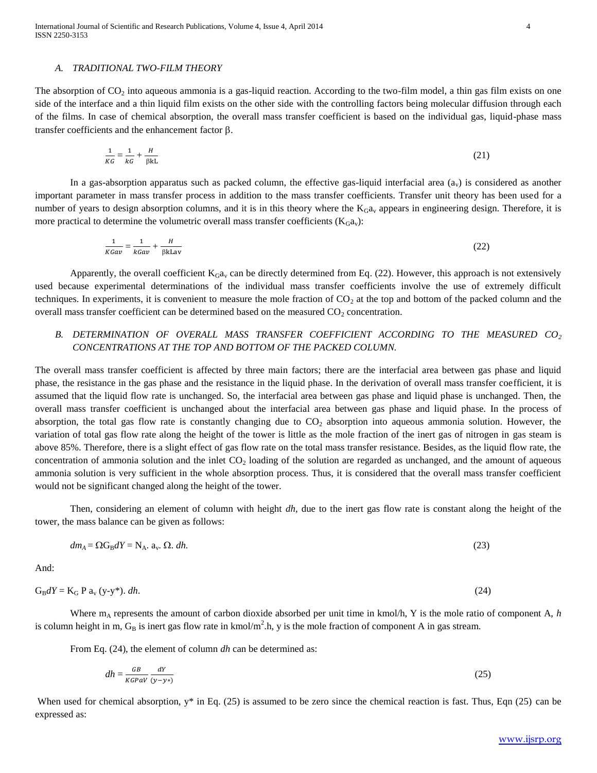#### *A. TRADITIONAL TWO-FILM THEORY*

The absorption of  $CO<sub>2</sub>$  into aqueous ammonia is a gas-liquid reaction. According to the two-film model, a thin gas film exists on one side of the interface and a thin liquid film exists on the other side with the controlling factors being molecular diffusion through each of the films. In case of chemical absorption, the overall mass transfer coefficient is based on the individual gas, liquid-phase mass transfer coefficients and the enhancement factor  $\beta$ .

$$
\frac{1}{KG} = \frac{1}{kG} + \frac{H}{\beta kL} \tag{21}
$$

In a gas-absorption apparatus such as packed column, the effective gas-liquid interfacial area  $(a<sub>v</sub>)$  is considered as another important parameter in mass transfer process in addition to the mass transfer coefficients. Transfer unit theory has been used for a number of years to design absorption columns, and it is in this theory where the  $K_Ga_v$  appears in engineering design. Therefore, it is more practical to determine the volumetric overall mass transfer coefficients  $(K_Ga_v)$ :

$$
\frac{1}{KGav} = \frac{1}{kGav} + \frac{H}{\beta kLav}
$$
(22)

Apparently, the overall coefficient  $K_Ga_v$  can be directly determined from Eq. (22). However, this approach is not extensively used because experimental determinations of the individual mass transfer coefficients involve the use of extremely difficult techniques. In experiments, it is convenient to measure the mole fraction of  $CO<sub>2</sub>$  at the top and bottom of the packed column and the overall mass transfer coefficient can be determined based on the measured  $CO<sub>2</sub>$  concentration.

## *B. DETERMINATION OF OVERALL MASS TRANSFER COEFFICIENT ACCORDING TO THE MEASURED CO<sup>2</sup> CONCENTRATIONS AT THE TOP AND BOTTOM OF THE PACKED COLUMN.*

The overall mass transfer coefficient is affected by three main factors; there are the interfacial area between gas phase and liquid phase, the resistance in the gas phase and the resistance in the liquid phase. In the derivation of overall mass transfer coefficient, it is assumed that the liquid flow rate is unchanged. So, the interfacial area between gas phase and liquid phase is unchanged. Then, the overall mass transfer coefficient is unchanged about the interfacial area between gas phase and liquid phase. In the process of absorption, the total gas flow rate is constantly changing due to  $CO<sub>2</sub>$  absorption into aqueous ammonia solution. However, the variation of total gas flow rate along the height of the tower is little as the mole fraction of the inert gas of nitrogen in gas steam is above 85%. Therefore, there is a slight effect of gas flow rate on the total mass transfer resistance. Besides, as the liquid flow rate, the concentration of ammonia solution and the inlet  $CO<sub>2</sub>$  loading of the solution are regarded as unchanged, and the amount of aqueous ammonia solution is very sufficient in the whole absorption process. Thus, it is considered that the overall mass transfer coefficient would not be significant changed along the height of the tower.

Then, considering an element of column with height *dh*, due to the inert gas flow rate is constant along the height of the tower, the mass balance can be given as follows:

$$
dm_A = \Omega G_B dY = N_A. a_v. \Omega. dh. \tag{23}
$$

And:

$$
G_B dY = K_G P a_v (y-y^*).
$$
 dh. (24)

Where  $m_A$  represents the amount of carbon dioxide absorbed per unit time in kmol/h, Y is the mole ratio of component A, *h* is column height in m,  $G_B$  is inert gas flow rate in kmol/m<sup>2</sup>.h, y is the mole fraction of component A in gas stream.

From Eq. (24), the element of column *dh* can be determined as:

$$
dh = \frac{GB}{KGPaV} \frac{dY}{(y - y^*)} \tag{25}
$$

When used for chemical absorption, y<sup>\*</sup> in Eq. (25) is assumed to be zero since the chemical reaction is fast. Thus, Eqn (25) can be expressed as: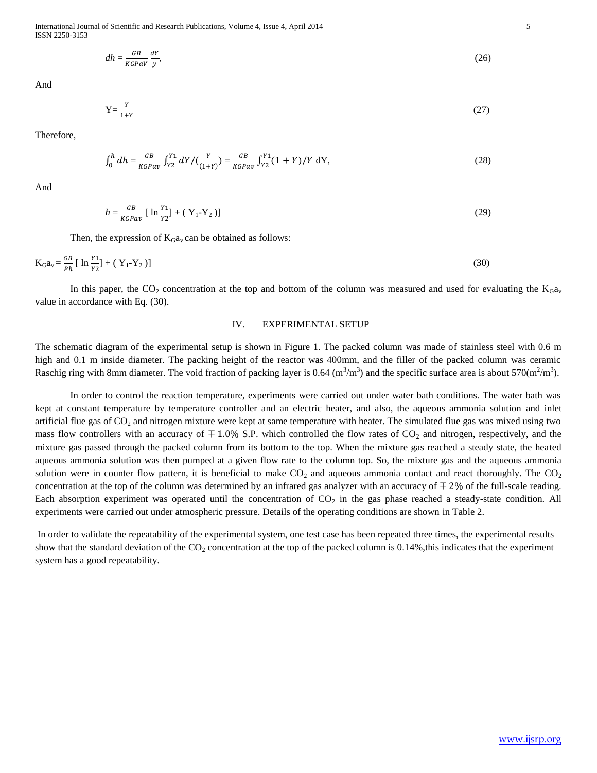International Journal of Scientific and Research Publications, Volume 4, Issue 4, April 2014 5 ISSN 2250-3153

$$
dh = \frac{GB}{KGPaV} \frac{dY}{y},\tag{26}
$$

And

$$
Y = \frac{Y}{1+Y} \tag{27}
$$

Therefore,

$$
\int_0^h dh = \frac{GB}{KGPav} \int_{Y2}^{Y1} dY / (\frac{Y}{(1+Y)}) = \frac{GB}{KGPav} \int_{Y2}^{Y1} (1+Y) / Y dY,
$$
\n(28)

And

$$
h = \frac{GB}{KGPav} \left[ \ln \frac{Y_1}{Y_2} \right] + \left( Y_1 - Y_2 \right) \right] \tag{29}
$$

Then, the expression of  $K_Ga_v$  can be obtained as follows:

$$
K_{G}a_{v} = \frac{GB}{Ph} [\ln \frac{Y_1}{Y_2}] + (Y_1 - Y_2)]
$$
\n(30)

In this paper, the  $CO_2$  concentration at the top and bottom of the column was measured and used for evaluating the  $K_Ga_v$ value in accordance with Eq. (30).

## IV. EXPERIMENTAL SETUP

The schematic diagram of the experimental setup is shown in Figure 1. The packed column was made of stainless steel with 0.6 m high and 0.1 m inside diameter. The packing height of the reactor was 400mm, and the filler of the packed column was ceramic Raschig ring with 8mm diameter. The void fraction of packing layer is 0.64 (m<sup>3</sup>/m<sup>3</sup>) and the specific surface area is about 570(m<sup>2</sup>/m<sup>3</sup>).

In order to control the reaction temperature, experiments were carried out under water bath conditions. The water bath was kept at constant temperature by temperature controller and an electric heater, and also, the aqueous ammonia solution and inlet artificial flue gas of  $CO_2$  and nitrogen mixture were kept at same temperature with heater. The simulated flue gas was mixed using two mass flow controllers with an accuracy of  $\pm 1.0\%$  S.P. which controlled the flow rates of CO<sub>2</sub> and nitrogen, respectively, and the mixture gas passed through the packed column from its bottom to the top. When the mixture gas reached a steady state, the heated aqueous ammonia solution was then pumped at a given flow rate to the column top. So, the mixture gas and the aqueous ammonia solution were in counter flow pattern, it is beneficial to make  $CO<sub>2</sub>$  and aqueous ammonia contact and react thoroughly. The  $CO<sub>2</sub>$ concentration at the top of the column was determined by an infrared gas analyzer with an accuracy of  $\pm 2\%$  of the full-scale reading. Each absorption experiment was operated until the concentration of  $CO<sub>2</sub>$  in the gas phase reached a steady-state condition. All experiments were carried out under atmospheric pressure. Details of the operating conditions are shown in Table 2.

In order to validate the repeatability of the experimental system, one test case has been repeated three times, the experimental results show that the standard deviation of the  $CO_2$  concentration at the top of the packed column is 0.14%, this indicates that the experiment system has a good repeatability.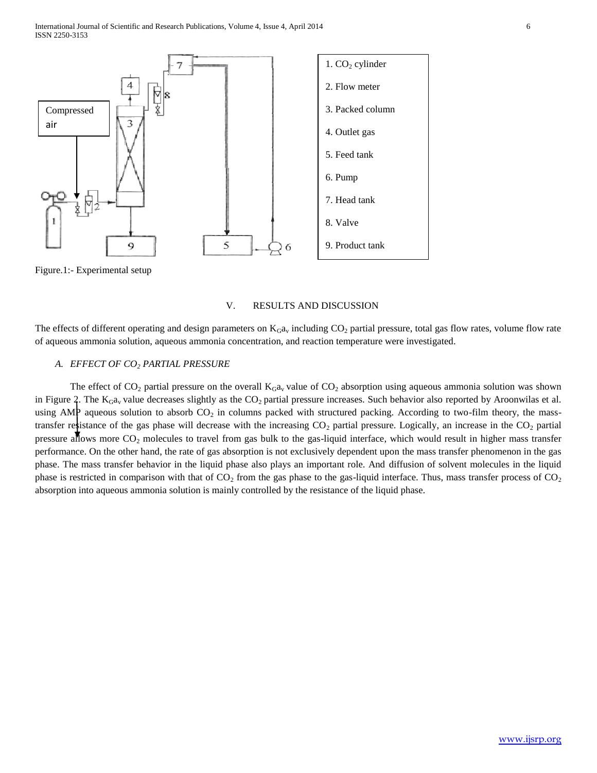

Figure.1:- Experimental setup

## V. RESULTS AND DISCUSSION

The effects of different operating and design parameters on  $K<sub>G</sub>a<sub>v</sub>$  including  $CO<sub>2</sub>$  partial pressure, total gas flow rates, volume flow rate of aqueous ammonia solution, aqueous ammonia concentration, and reaction temperature were investigated.

## *A. EFFECT OF CO<sup>2</sup> PARTIAL PRESSURE*

The effect of  $CO_2$  partial pressure on the overall  $K_Ga_v$  value of  $CO_2$  absorption using aqueous ammonia solution was shown in Figure 2. The  $K_Ga_v$  value decreases slightly as the  $CO_2$  partial pressure increases. Such behavior also reported by Aroonwilas et al. using AMP aqueous solution to absorb  $CO_2$  in columns packed with structured packing. According to two-film theory, the masstransfer resistance of the gas phase will decrease with the increasing  $CO_2$  partial pressure. Logically, an increase in the  $CO_2$  partial pressure allows more  $CO_2$  molecules to travel from gas bulk to the gas-liquid interface, which would result in higher mass transfer performance. On the other hand, the rate of gas absorption is not exclusively dependent upon the mass transfer phenomenon in the gas phase. The mass transfer behavior in the liquid phase also plays an important role. And diffusion of solvent molecules in the liquid phase is restricted in comparison with that of  $CO<sub>2</sub>$  from the gas phase to the gas-liquid interface. Thus, mass transfer process of  $CO<sub>2</sub>$ absorption into aqueous ammonia solution is mainly controlled by the resistance of the liquid phase.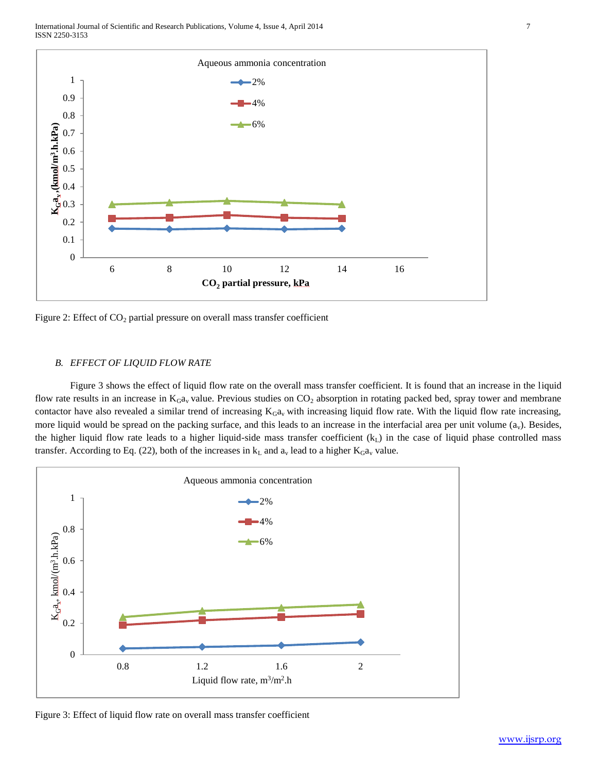

Figure 2: Effect of  $CO<sub>2</sub>$  partial pressure on overall mass transfer coefficient

#### *B. EFFECT OF LIQUID FLOW RATE*

Figure 3 shows the effect of liquid flow rate on the overall mass transfer coefficient. It is found that an increase in the liquid flow rate results in an increase in  $K<sub>G</sub>a<sub>v</sub>$  value. Previous studies on  $CO<sub>2</sub>$  absorption in rotating packed bed, spray tower and membrane contactor have also revealed a similar trend of increasing  $K_Ga_v$  with increasing liquid flow rate. With the liquid flow rate increasing, more liquid would be spread on the packing surface, and this leads to an increase in the interfacial area per unit volume  $(a_v)$ . Besides, the higher liquid flow rate leads to a higher liquid-side mass transfer coefficient  $(k<sub>L</sub>)$  in the case of liquid phase controlled mass transfer. According to Eq. (22), both of the increases in  $k<sub>L</sub>$  and  $a<sub>v</sub>$  lead to a higher  $K<sub>G</sub>a<sub>v</sub>$  value.



Figure 3: Effect of liquid flow rate on overall mass transfer coefficient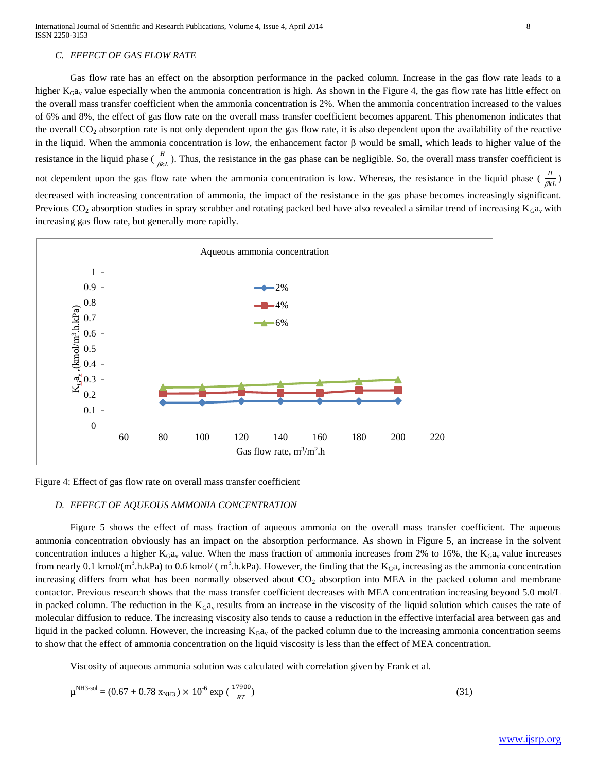## *C. EFFECT OF GAS FLOW RATE*

Gas flow rate has an effect on the absorption performance in the packed column. Increase in the gas flow rate leads to a higher  $K_Ga_v$  value especially when the ammonia concentration is high. As shown in the Figure 4, the gas flow rate has little effect on the overall mass transfer coefficient when the ammonia concentration is 2%. When the ammonia concentration increased to the values of 6% and 8%, the effect of gas flow rate on the overall mass transfer coefficient becomes apparent. This phenomenon indicates that the overall CO<sup>2</sup> absorption rate is not only dependent upon the gas flow rate, it is also dependent upon the availability of the reactive in the liquid. When the ammonia concentration is low, the enhancement factor  $\beta$  would be small, which leads to higher value of the resistance in the liquid phase  $(\frac{n}{\beta k} )$ . Thus, the resistance in the gas phase can be negligible. So, the overall mass transfer coefficient is not dependent upon the gas flow rate when the ammonia concentration is low. Whereas, the resistance in the liquid phase  $(\frac{n}{\beta kL})$ 

decreased with increasing concentration of ammonia, the impact of the resistance in the gas phase becomes increasingly significant. Previous  $CO_2$  absorption studies in spray scrubber and rotating packed bed have also revealed a similar trend of increasing  $K_Ga_v$  with increasing gas flow rate, but generally more rapidly.



Figure 4: Effect of gas flow rate on overall mass transfer coefficient

#### *D. EFFECT OF AQUEOUS AMMONIA CONCENTRATION*

Figure 5 shows the effect of mass fraction of aqueous ammonia on the overall mass transfer coefficient. The aqueous ammonia concentration obviously has an impact on the absorption performance. As shown in Figure 5, an increase in the solvent concentration induces a higher  $K_Ga_v$  value. When the mass fraction of ammonia increases from 2% to 16%, the  $K_Ga_v$  value increases from nearly 0.1 kmol/(m<sup>3</sup>.h.kPa) to 0.6 kmol/ (m<sup>3</sup>.h.kPa). However, the finding that the  $K_Ga_v$  increasing as the ammonia concentration increasing differs from what has been normally observed about  $CO<sub>2</sub>$  absorption into MEA in the packed column and membrane contactor. Previous research shows that the mass transfer coefficient decreases with MEA concentration increasing beyond 5.0 mol/L in packed column. The reduction in the  $K_Ga_v$  results from an increase in the viscosity of the liquid solution which causes the rate of molecular diffusion to reduce. The increasing viscosity also tends to cause a reduction in the effective interfacial area between gas and liquid in the packed column. However, the increasing  $K_Ga_v$  of the packed column due to the increasing ammonia concentration seems to show that the effect of ammonia concentration on the liquid viscosity is less than the effect of MEA concentration.

Viscosity of aqueous ammonia solution was calculated with correlation given by Frank et al.

$$
\mu^{\rm NH3-sol} = (0.67 + 0.78 \, \text{X}_{\rm NH3}) \times 10^{-6} \, \text{exp} \, (\frac{17900}{RT}) \tag{31}
$$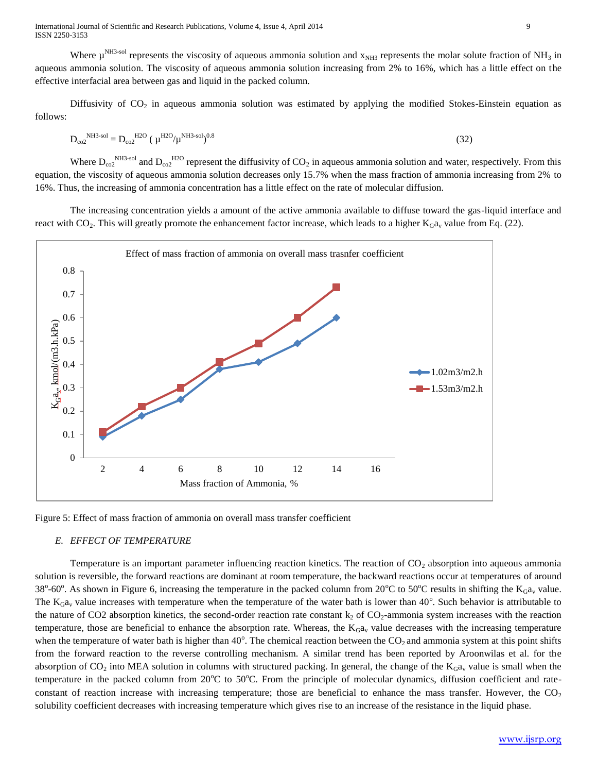International Journal of Scientific and Research Publications, Volume 4, Issue 4, April 2014 9 ISSN 2250-3153

Where  $\mu^{NH3-sol}$  represents the viscosity of aqueous ammonia solution and  $x_{NH3}$  represents the molar solute fraction of NH<sub>3</sub> in aqueous ammonia solution. The viscosity of aqueous ammonia solution increasing from 2% to 16%, which has a little effect on the effective interfacial area between gas and liquid in the packed column.

Diffusivity of  $CO<sub>2</sub>$  in aqueous ammonia solution was estimated by applying the modified Stokes-Einstein equation as follows:

$$
D_{\rm co2}^{\rm NH3\text{-}sol} = D_{\rm co2}^{\rm H2O} \left( \mu^{\rm H2O} / \mu^{\rm NH3\text{-}sol} \right)^{0.8} \tag{32}
$$

Where  $D_{\text{co2}}^{\text{NH3-sol}}$  and  $D_{\text{co2}}^{\text{H2O}}$  represent the diffusivity of  $CO_2$  in aqueous ammonia solution and water, respectively. From this equation, the viscosity of aqueous ammonia solution decreases only 15.7% when the mass fraction of ammonia increasing from 2% to 16%. Thus, the increasing of ammonia concentration has a little effect on the rate of molecular diffusion.

The increasing concentration yields a amount of the active ammonia available to diffuse toward the gas-liquid interface and react with  $CO_2$ . This will greatly promote the enhancement factor increase, which leads to a higher  $K_Ga_v$  value from Eq. (22).



Figure 5: Effect of mass fraction of ammonia on overall mass transfer coefficient

#### *E. EFFECT OF TEMPERATURE*

Temperature is an important parameter influencing reaction kinetics. The reaction of  $CO<sub>2</sub>$  absorption into aqueous ammonia solution is reversible, the forward reactions are dominant at room temperature, the backward reactions occur at temperatures of around 38°-60°. As shown in Figure 6, increasing the temperature in the packed column from 20°C to 50°C results in shifting the  $K_Ga_v$  value. The  $K_Ga_v$  value increases with temperature when the temperature of the water bath is lower than  $40^\circ$ . Such behavior is attributable to the nature of CO2 absorption kinetics, the second-order reaction rate constant  $k_2$  of CO<sub>2</sub>-ammonia system increases with the reaction temperature, those are beneficial to enhance the absorption rate. Whereas, the  $K_Ga_v$  value decreases with the increasing temperature when the temperature of water bath is higher than  $40^{\circ}$ . The chemical reaction between the  $CO_2$  and ammonia system at this point shifts from the forward reaction to the reverse controlling mechanism. A similar trend has been reported by Aroonwilas et al. for the absorption of  $CO_2$  into MEA solution in columns with structured packing. In general, the change of the  $K_Ga_v$  value is small when the temperature in the packed column from  $20^{\circ}$ C to  $50^{\circ}$ C. From the principle of molecular dynamics, diffusion coefficient and rateconstant of reaction increase with increasing temperature; those are beneficial to enhance the mass transfer. However, the  $CO<sub>2</sub>$ solubility coefficient decreases with increasing temperature which gives rise to an increase of the resistance in the liquid phase.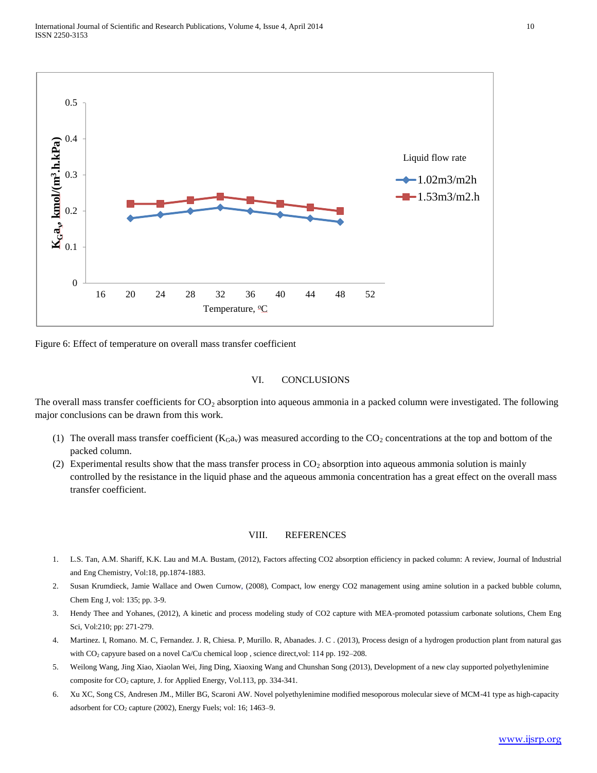

Figure 6: Effect of temperature on overall mass transfer coefficient

#### VI. CONCLUSIONS

The overall mass transfer coefficients for  $CO<sub>2</sub>$  absorption into aqueous ammonia in a packed column were investigated. The following major conclusions can be drawn from this work.

- (1) The overall mass transfer coefficient  $(K<sub>G</sub>a<sub>v</sub>)$  was measured according to the  $CO<sub>2</sub>$  concentrations at the top and bottom of the packed column.
- (2) Experimental results show that the mass transfer process in  $CO<sub>2</sub>$  absorption into aqueous ammonia solution is mainly controlled by the resistance in the liquid phase and the aqueous ammonia concentration has a great effect on the overall mass transfer coefficient.

## VIII. REFERENCES

- 1. L.S. Tan, A.M. Shariff, K.K. Lau and M.A. Bustam, (2012), Factors affecting CO2 absorption efficiency in packed column: A review, Journal of Industrial and Eng Chemistry, Vol:18, pp.1874-1883.
- 2. Susan Krumdieck, Jamie Wallace and Owen Curnow, (2008), Compact, low energy CO2 management using amine solution in a packed bubble column, Chem Eng J, vol: 135; pp. 3-9.
- 3. Hendy Thee and Yohanes, (2012), A kinetic and process modeling study of CO2 capture with MEA-promoted potassium carbonate solutions, Chem Eng Sci, Vol:210; pp: 271-279.
- 4. Martinez. I, Romano. M. C, Fernandez. J. R, Chiesa. P, Murillo. R, Abanades. J. C . (2013), Process design of a hydrogen production plant from natural gas with CO<sub>2</sub> capyure based on a novel Ca/Cu chemical loop, science direct,vol: 114 pp. 192-208.
- 5. Weilong Wang, Jing Xiao, Xiaolan Wei, Jing Ding, Xiaoxing Wang and Chunshan Song (2013), Development of a new clay supported polyethylenimine composite for  $CO<sub>2</sub>$  capture, J. for Applied Energy, Vol.113, pp. 334-341.
- 6. Xu XC, Song CS, Andresen JM., Miller BG, Scaroni AW. Novel polyethylenimine modified mesoporous molecular sieve of MCM-41 type as high-capacity adsorbent for CO<sub>2</sub> capture (2002), Energy Fuels; vol: 16; 1463-9.